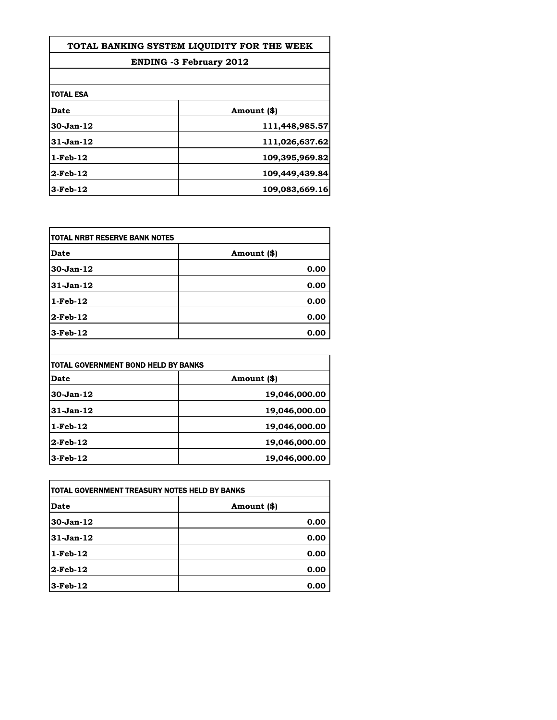| TOTAL BANKING SYSTEM LIOUIDITY FOR THE WEEK<br><b>ENDING -3 February 2012</b> |                |
|-------------------------------------------------------------------------------|----------------|
|                                                                               |                |
| <b>TOTAL ESA</b>                                                              |                |
| Date                                                                          | Amount (\$)    |
| 30-Jan-12                                                                     | 111,448,985.57 |
| 31-Jan-12                                                                     | 111,026,637.62 |
| 1-Feb-12                                                                      | 109,395,969.82 |
| 2-Feb-12                                                                      | 109,449,439.84 |
| 3-Feb-12                                                                      | 109,083,669.16 |

| Date        | Amount (\$) |
|-------------|-------------|
| $30-Jan-12$ | 0.00        |
| $31-Jan-12$ | 0.00        |
| $1-Feb-12$  | 0.00        |
| $2$ -Feb-12 | 0.00        |
| $3-Feb-12$  | 0.00        |

| Date            | Amount (\$)   |
|-----------------|---------------|
| $30 - Jan - 12$ | 19,046,000.00 |
| $31-Jan-12$     | 19,046,000.00 |
| $1$ -Feb- $12$  | 19,046,000.00 |
| $2$ -Feb-12     | 19,046,000.00 |
| $3-Feb-12$      | 19,046,000.00 |

| TOTAL GOVERNMENT TREASURY NOTES HELD BY BANKS |             |
|-----------------------------------------------|-------------|
| Date                                          | Amount (\$) |
| $30-Jan-12$                                   | 0.00        |
| $31-Jan-12$                                   | 0.00        |
| $1$ -Feb- $12$                                | 0.00        |
| $2$ -Feb-12                                   | 0.00        |
| $3-Feb-12$                                    | 0.00        |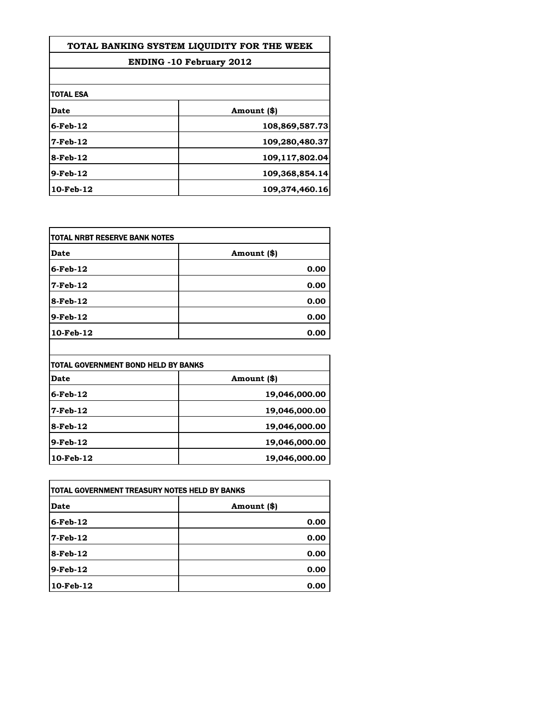| TOTAL BANKING SYSTEM LIOUIDITY FOR THE WEEK<br><b>ENDING -10 February 2012</b> |                |
|--------------------------------------------------------------------------------|----------------|
|                                                                                |                |
| <b>TOTAL ESA</b>                                                               |                |
| Date                                                                           | Amount (\$)    |
| 6-Feb-12                                                                       | 108,869,587.73 |
| 7-Feb-12                                                                       | 109,280,480.37 |
| 8-Feb-12                                                                       | 109,117,802.04 |
| 9-Feb-12                                                                       | 109,368,854.14 |
| 10-Feb-12                                                                      | 109,374,460.16 |

| Date        | Amount (\$) |
|-------------|-------------|
| $6$ -Feb-12 | 0.00        |
| 7-Feb-12    | 0.00        |
| 8-Feb-12    | 0.00        |
| $9-Feb-12$  | 0.00        |
| 10-Feb-12   | 0.00        |

| <b>TOTAL GOVERNMENT BOND HELD BY BANKS</b> |               |
|--------------------------------------------|---------------|
| Date                                       | Amount (\$)   |
| $6$ -Feb-12                                | 19,046,000.00 |
| $7$ -Feb-12                                | 19,046,000.00 |
| $8$ -Feb-12                                | 19,046,000.00 |
| $9$ -Feb-12                                | 19,046,000.00 |
| 10-Feb-12                                  | 19,046,000.00 |

| TOTAL GOVERNMENT TREASURY NOTES HELD BY BANKS |             |
|-----------------------------------------------|-------------|
| Date                                          | Amount (\$) |
| $6$ -Feb-12                                   | 0.00        |
| $7-Feb-12$                                    | 0.00        |
| $8$ -Feb-12                                   | 0.00        |
| $9$ -Feb-12                                   | 0.00        |
| 10-Feb-12                                     | 0.00        |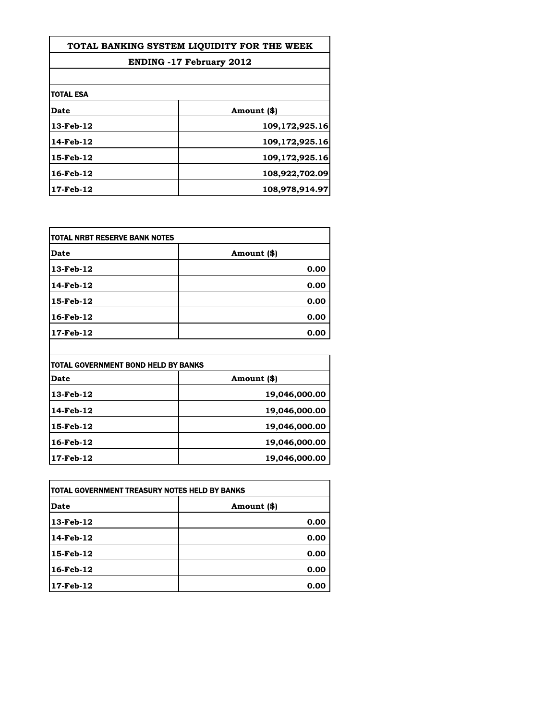| TOTAL BANKING SYSTEM LIQUIDITY FOR THE WEEK<br><b>ENDING -17 February 2012</b> |                |
|--------------------------------------------------------------------------------|----------------|
|                                                                                |                |
| <b>TOTAL ESA</b>                                                               |                |
| <b>Date</b>                                                                    | Amount (\$)    |
| 13-Feb-12                                                                      | 109,172,925.16 |
| 14-Feb-12                                                                      | 109,172,925.16 |
| 15-Feb-12                                                                      | 109,172,925.16 |
| 16-Feb-12                                                                      | 108,922,702.09 |
| 17-Feb-12                                                                      | 108,978,914.97 |

| Date      | Amount (\$) |
|-----------|-------------|
| 13-Feb-12 | 0.00        |
| 14-Feb-12 | 0.00        |
| 15-Feb-12 | 0.00        |
| 16-Feb-12 | 0.00        |
| 17-Feb-12 | 0.00        |

| Date            | Amount (\$)   |
|-----------------|---------------|
| $13$ -Feb- $12$ | 19,046,000.00 |
| 14-Feb-12       | 19,046,000.00 |
| 15-Feb-12       | 19,046,000.00 |
| 16-Feb-12       | 19,046,000.00 |
| 17-Feb-12       | 19,046,000.00 |

| TOTAL GOVERNMENT TREASURY NOTES HELD BY BANKS |             |
|-----------------------------------------------|-------------|
| Date                                          | Amount (\$) |
| $13$ -Feb- $12$                               | 0.00        |
| 14-Feb-12                                     | 0.00        |
| $15$ -Feb- $12$                               | 0.00        |
| 16-Feb-12                                     | 0.00        |
| $17$ -Feb- $12$                               | 0.00        |